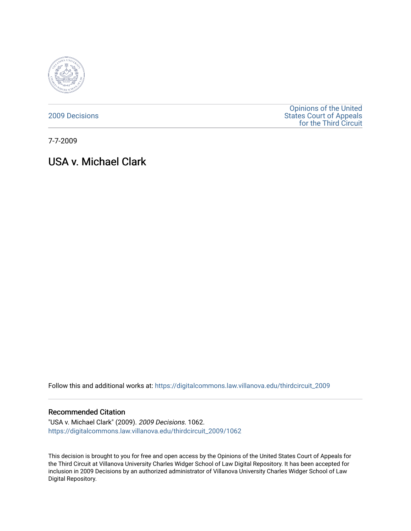

[2009 Decisions](https://digitalcommons.law.villanova.edu/thirdcircuit_2009)

[Opinions of the United](https://digitalcommons.law.villanova.edu/thirdcircuit)  [States Court of Appeals](https://digitalcommons.law.villanova.edu/thirdcircuit)  [for the Third Circuit](https://digitalcommons.law.villanova.edu/thirdcircuit) 

7-7-2009

# USA v. Michael Clark

Follow this and additional works at: [https://digitalcommons.law.villanova.edu/thirdcircuit\\_2009](https://digitalcommons.law.villanova.edu/thirdcircuit_2009?utm_source=digitalcommons.law.villanova.edu%2Fthirdcircuit_2009%2F1062&utm_medium=PDF&utm_campaign=PDFCoverPages) 

## Recommended Citation

"USA v. Michael Clark" (2009). 2009 Decisions. 1062. [https://digitalcommons.law.villanova.edu/thirdcircuit\\_2009/1062](https://digitalcommons.law.villanova.edu/thirdcircuit_2009/1062?utm_source=digitalcommons.law.villanova.edu%2Fthirdcircuit_2009%2F1062&utm_medium=PDF&utm_campaign=PDFCoverPages) 

This decision is brought to you for free and open access by the Opinions of the United States Court of Appeals for the Third Circuit at Villanova University Charles Widger School of Law Digital Repository. It has been accepted for inclusion in 2009 Decisions by an authorized administrator of Villanova University Charles Widger School of Law Digital Repository.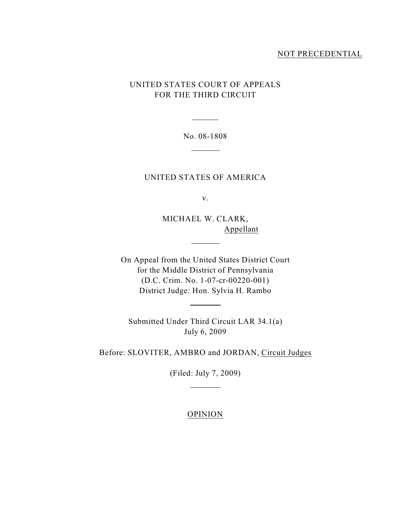## NOT PRECEDENTIAL

## UNITED STATES COURT OF APPEALS FOR THE THIRD CIRCUIT

No. 08-1808  $\overline{\phantom{a}}$ 

 $\overline{a}$ 

UNITED STATES OF AMERICA

v.

MICHAEL W. CLARK, Appellant

 $\overline{a}$ 

 $\overline{a}$ 

On Appeal from the United States District Court for the Middle District of Pennsylvania (D.C. Crim. No. 1-07-cr-00220-001) District Judge: Hon. Sylvia H. Rambo

Submitted Under Third Circuit LAR 34.1(a) July 6, 2009

Before: SLOVITER, AMBRO and JORDAN, Circuit Judges

(Filed: July 7, 2009)

 $\overline{a}$ 

## OPINION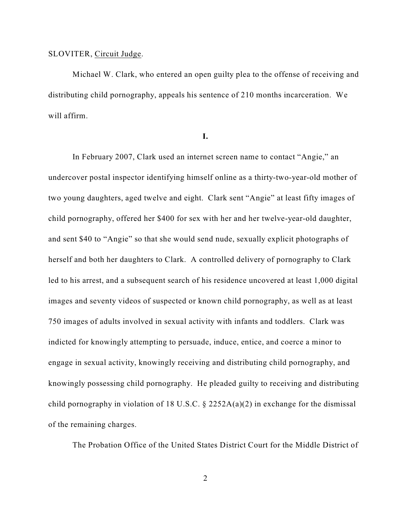## SLOVITER, Circuit Judge.

Michael W. Clark, who entered an open guilty plea to the offense of receiving and distributing child pornography, appeals his sentence of 210 months incarceration. We will affirm.

**I.**

In February 2007, Clark used an internet screen name to contact "Angie," an undercover postal inspector identifying himself online as a thirty-two-year-old mother of two young daughters, aged twelve and eight. Clark sent "Angie" at least fifty images of child pornography, offered her \$400 for sex with her and her twelve-year-old daughter, and sent \$40 to "Angie" so that she would send nude, sexually explicit photographs of herself and both her daughters to Clark. A controlled delivery of pornography to Clark led to his arrest, and a subsequent search of his residence uncovered at least 1,000 digital images and seventy videos of suspected or known child pornography, as well as at least 750 images of adults involved in sexual activity with infants and toddlers. Clark was indicted for knowingly attempting to persuade, induce, entice, and coerce a minor to engage in sexual activity, knowingly receiving and distributing child pornography, and knowingly possessing child pornography. He pleaded guilty to receiving and distributing child pornography in violation of 18 U.S.C.  $\S$  2252A(a)(2) in exchange for the dismissal of the remaining charges.

The Probation Office of the United States District Court for the Middle District of

2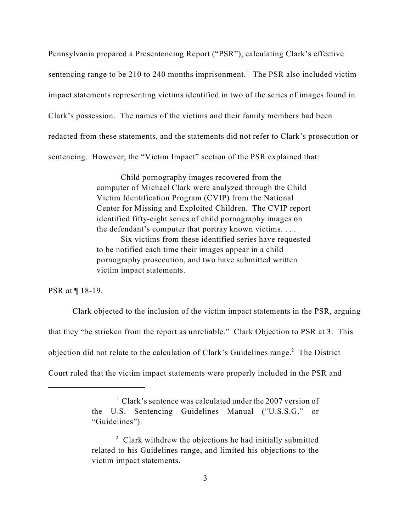Pennsylvania prepared a Presentencing Report ("PSR"), calculating Clark's effective sentencing range to be 210 to 240 months imprisonment.<sup>1</sup> The PSR also included victim impact statements representing victims identified in two of the series of images found in Clark's possession. The names of the victims and their family members had been redacted from these statements, and the statements did not refer to Clark's prosecution or sentencing. However, the "Victim Impact" section of the PSR explained that:

> Child pornography images recovered from the computer of Michael Clark were analyzed through the Child Victim Identification Program (CVIP) from the National Center for Missing and Exploited Children. The CVIP report identified fifty-eight series of child pornography images on the defendant's computer that portray known victims. . . . Six victims from these identified series have requested to be notified each time their images appear in a child

pornography prosecution, and two have submitted written victim impact statements.

PSR at ¶ 18-19.

Clark objected to the inclusion of the victim impact statements in the PSR, arguing that they "be stricken from the report as unreliable." Clark Objection to PSR at 3. This objection did not relate to the calculation of Clark's Guidelines range.<sup>2</sup> The District Court ruled that the victim impact statements were properly included in the PSR and

 $\frac{1}{2}$  Clark's sentence was calculated under the 2007 version of the U.S. Sentencing Guidelines Manual ("U.S.S.G." or "Guidelines").

 $\degree$  Clark withdrew the objections he had initially submitted related to his Guidelines range, and limited his objections to the victim impact statements.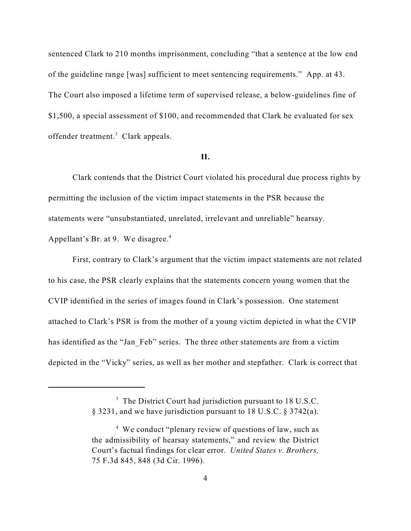sentenced Clark to 210 months imprisonment, concluding "that a sentence at the low end of the guideline range [was] sufficient to meet sentencing requirements." App. at 43. The Court also imposed a lifetime term of supervised release, a below-guidelines fine of \$1,500, a special assessment of \$100, and recommended that Clark be evaluated for sex offender treatment.<sup>3</sup> Clark appeals.

#### **II.**

Clark contends that the District Court violated his procedural due process rights by permitting the inclusion of the victim impact statements in the PSR because the statements were "unsubstantiated, unrelated, irrelevant and unreliable" hearsay. Appellant's Br. at 9. We disagree.<sup>4</sup>

First, contrary to Clark's argument that the victim impact statements are not related to his case, the PSR clearly explains that the statements concern young women that the CVIP identified in the series of images found in Clark's possession. One statement attached to Clark's PSR is from the mother of a young victim depicted in what the CVIP has identified as the "Jan–Feb" series. The three other statements are from a victim depicted in the "Vicky" series, as well as her mother and stepfather. Clark is correct that

 $3$  The District Court had jurisdiction pursuant to 18 U.S.C. § 3231, and we have jurisdiction pursuant to 18 U.S.C. § 3742(a).

 $4\,$  We conduct "plenary review of questions of law, such as the admissibility of hearsay statements," and review the District Court's factual findings for clear error. *United States v. Brothers,* 75 F.3d 845, 848 (3d Cir. 1996).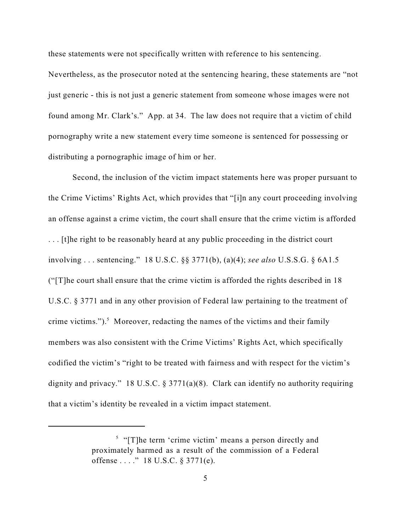these statements were not specifically written with reference to his sentencing.

Nevertheless, as the prosecutor noted at the sentencing hearing, these statements are "not just generic - this is not just a generic statement from someone whose images were not found among Mr. Clark's." App. at 34. The law does not require that a victim of child pornography write a new statement every time someone is sentenced for possessing or distributing a pornographic image of him or her.

Second, the inclusion of the victim impact statements here was proper pursuant to the Crime Victims' Rights Act, which provides that "[i]n any court proceeding involving an offense against a crime victim, the court shall ensure that the crime victim is afforded ... [t]he right to be reasonably heard at any public proceeding in the district court involving . . . sentencing." 18 U.S.C. §§ 3771(b), (a)(4); *see also* U.S.S.G. § 6A1.5 ("[T]he court shall ensure that the crime victim is afforded the rights described in 18 U.S.C. § 3771 and in any other provision of Federal law pertaining to the treatment of crime victims."). $5$  Moreover, redacting the names of the victims and their family members was also consistent with the Crime Victims' Rights Act, which specifically codified the victim's "right to be treated with fairness and with respect for the victim's dignity and privacy." 18 U.S.C. § 3771(a)(8). Clark can identify no authority requiring that a victim's identity be revealed in a victim impact statement.

 $\frac{1}{2}$  "[T]he term 'crime victim' means a person directly and proximately harmed as a result of the commission of a Federal offense . . . ." 18 U.S.C. § 3771(e).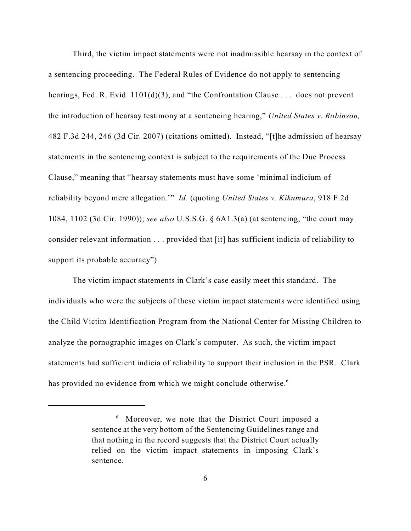Third, the victim impact statements were not inadmissible hearsay in the context of a sentencing proceeding. The Federal Rules of Evidence do not apply to sentencing hearings, Fed. R. Evid. 1101(d)(3), and "the Confrontation Clause . . . does not prevent the introduction of hearsay testimony at a sentencing hearing," *United States v. Robinson,* 482 F.3d 244, 246 (3d Cir. 2007) (citations omitted). Instead, "[t]he admission of hearsay statements in the sentencing context is subject to the requirements of the Due Process Clause," meaning that "hearsay statements must have some 'minimal indicium of reliability beyond mere allegation.'" *Id.* (quoting *United States v. Kikumura*, 918 F.2d 1084, 1102 (3d Cir. 1990)); *see also* U.S.S.G. § 6A1.3(a) (at sentencing, "the court may consider relevant information . . . provided that [it] has sufficient indicia of reliability to support its probable accuracy").

The victim impact statements in Clark's case easily meet this standard. The individuals who were the subjects of these victim impact statements were identified using the Child Victim Identification Program from the National Center for Missing Children to analyze the pornographic images on Clark's computer. As such, the victim impact statements had sufficient indicia of reliability to support their inclusion in the PSR. Clark has provided no evidence from which we might conclude otherwise.<sup>6</sup>

 $6\,\text{Moreover}$ , we note that the District Court imposed a sentence at the very bottom of the Sentencing Guidelines range and that nothing in the record suggests that the District Court actually relied on the victim impact statements in imposing Clark's sentence.